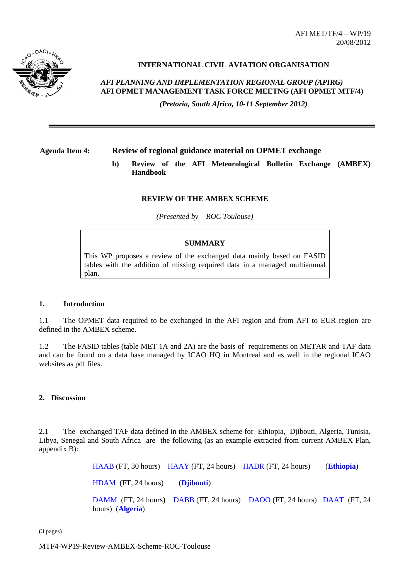AFI MET/TF/4 – WP/19 20/08/2012



# **INTERNATIONAL CIVIL AVIATION ORGANISATION**

*AFI PLANNING AND IMPLEMENTATION REGIONAL GROUP (APIRG)* **AFI OPMET MANAGEMENT TASK FORCE MEETNG (AFI OPMET MTF/4)** 

*(Pretoria, South Africa, 10-11 September 2012)*

# **Agenda Item 4: Review of regional guidance material on OPMET exchange**

**b) Review of the AFI Meteorological Bulletin Exchange (AMBEX) Handbook**

## **REVIEW OF THE AMBEX SCHEME**

*(Presented by ROC Toulouse)*

## **SUMMARY**

This WP proposes a review of the exchanged data mainly based on FASID tables with the addition of missing required data in a managed multiannual plan.

#### **1. Introduction**

1.1 The OPMET data required to be exchanged in the AFI region and from AFI to EUR region are defined in the AMBEX scheme.

1.2 The FASID tables (table MET 1A and 2A) are the basis of requirements on METAR and TAF data and can be found on a data base managed by ICAO HQ in Montreal and as well in the regional ICAO websites as pdf files.

## **2. Discussion**

2.1 The exchanged TAF data defined in the AMBEX scheme for Ethiopia, Djibouti, Algeria, Tunisia, Libya, Senegal and South Africa are the following (as an example extracted from current AMBEX Plan, appendix B):

> HAAB (FT, 30 hours) HAAY (FT, 24 hours) HADR (FT, 24 hours) (**Ethiopia**) HDAM (FT, 24 hours) (**Djibouti**) DAMM (FT, 24 hours) DABB (FT, 24 hours) DAOO (FT, 24 hours) DAAT (FT, 24 hours) (**Algeria**)

(3 pages)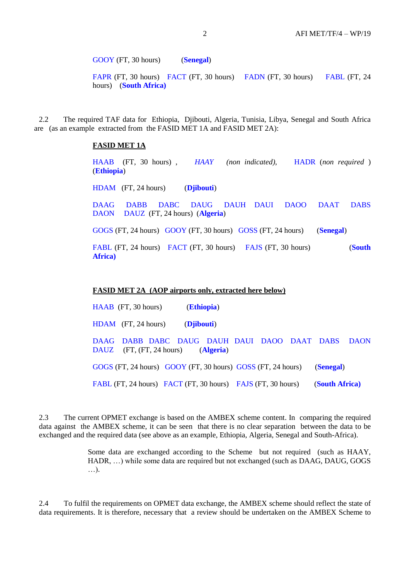GOOY (FT, 30 hours) (**Senegal**)

FAPR (FT, 30 hours) FACT (FT, 30 hours) FADN (FT, 30 hours) FABL (FT, 24 hours) (**South Africa)**

2.2 The required TAF data for Ethiopia, Djibouti, Algeria, Tunisia, Libya, Senegal and South Africa are (as an example extracted from the FASID MET 1A and FASID MET 2A):

## **FASID MET 1A**

HAAB (FT, 30 hours) , *HAAY (non indicated)*, HADR (*non required* ) (**Ethiopia**) HDAM (FT, 24 hours) (**Djibouti**) DAAG DABB DABC DAUG DAUH DAUI DAOO DAAT DABS DAON DAUZ (FT, 24 hours) (**Algeria**)

GOGS (FT, 24 hours) GOOY (FT, 30 hours) GOSS (FT, 24 hours) (**Senegal**)

FABL (FT, 24 hours) FACT (FT, 30 hours) FAJS (FT, 30 hours) (**South Africa)**

# **FASID MET 2A (AOP airports only, extracted here below)**

HAAB (FT, 30 hours) (**Ethiopia**) HDAM (FT, 24 hours) (**Djibouti**) DAAG DABB DABC DAUG DAUH DAUI DAOO DAAT DABS DAON DAUZ (FT, (FT, 24 hours) (**Algeria**) GOGS (FT, 24 hours) GOOY (FT, 30 hours) GOSS (FT, 24 hours) (**Senegal**) FABL (FT, 24 hours) FACT (FT, 30 hours) FAJS (FT, 30 hours) (**South Africa)**

2.3 The current OPMET exchange is based on the AMBEX scheme content. In comparing the required data against the AMBEX scheme, it can be seen that there is no clear separation between the data to be exchanged and the required data (see above as an example, Ethiopia, Algeria, Senegal and South-Africa).

> Some data are exchanged according to the Scheme but not required (such as HAAY, HADR, …) while some data are required but not exchanged (such as DAAG, DAUG, GOGS …).

2.4 To fulfil the requirements on OPMET data exchange, the AMBEX scheme should reflect the state of data requirements. It is therefore, necessary that a review should be undertaken on the AMBEX Scheme to